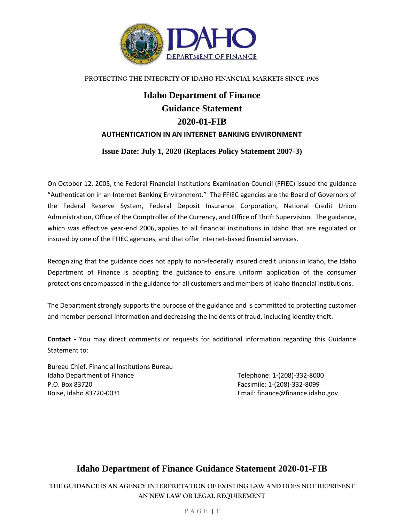

#### **PROTECTING THE INTEGRITY OF IDAHO FINANCIAL MARKETS SINCE 1905**

# **Idaho Department of Finance Guidance Statement 2020-01-FIB AUTHENTICATION IN AN INTERNET BANKING ENVIRONMENT**

**Issue Date: July 1, 2020 (Replaces Policy Statement 2007-3)**

On October 12, 2005, the Federal Financial Institutions Examination Council (FFIEC) issued the guidance "Authentication in an Internet Banking Environment." The FFIEC agencies are the Board of Governors of the Federal Reserve System, Federal Deposit Insurance Corporation, National Credit Union Administration, Office of the Comptroller of the Currency, and Office of Thrift Supervision. The guidance, which was effective year-end 2006, applies to all financial institutions in Idaho that are regulated or insured by one of the FFIEC agencies, and that offer Internet-based financial services.

Recognizing that the guidance does not apply to non-federally insured credit unions in Idaho, the Idaho Department of Finance is adopting the guidance to ensure uniform application of the consumer protections encompassed in the guidance for all customers and members of Idaho financial institutions.

The Department strongly supports the purpose of the guidance and is committed to protecting customer and member personal information and decreasing the incidents of fraud, including identity theft.

**Contact -** You may direct comments or requests for additional information regarding this Guidance Statement to:

Bureau Chief, Financial Institutions Bureau Idaho Department of Finance Telephone: 1-(208)-332-8000 P.O. Box 83720 Facsimile: 1-(208)-332-8099 Boise, Idaho 83720-0031 Email: finance@finance.idaho.gov

# **Idaho Department of Finance Guidance Statement 2020-01-FIB**

**THE GUIDANCE IS AN AGENCY INTERPRETATION OF EXISTING LAW AND DOES NOT REPRESENT AN NEW LAW OR LEGAL REQUIREMENT**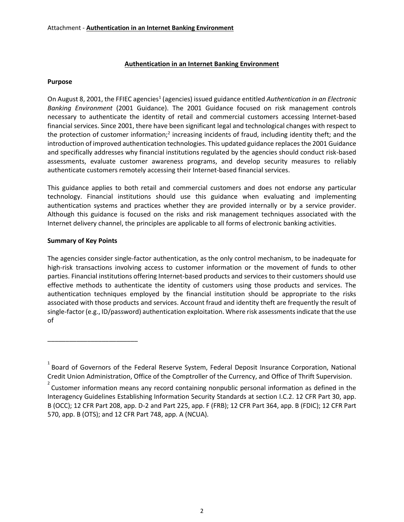# **Authentication in an Internet Banking Environment**

#### **Purpose**

On August 8, 2001, the FFIEC agencies<sup>1</sup> (agencies) issued guidance entitled Authentication in an Electronic *Banking Environment* (2001 Guidance). The 2001 Guidance focused on risk management controls necessary to authenticate the identity of retail and commercial customers accessing Internet-based financial services. Since 2001, there have been significant legal and technological changes with respect to the protection of customer information;<sup>2</sup> increasing incidents of fraud, including identity theft; and the introduction of improved authentication technologies. This updated guidance replaces the 2001 Guidance and specifically addresses why financial institutions regulated by the agencies should conduct risk-based assessments, evaluate customer awareness programs, and develop security measures to reliably authenticate customers remotely accessing their Internet-based financial services.

This guidance applies to both retail and commercial customers and does not endorse any particular technology. Financial institutions should use this guidance when evaluating and implementing authentication systems and practices whether they are provided internally or by a service provider. Although this guidance is focused on the risks and risk management techniques associated with the Internet delivery channel, the principles are applicable to all forms of electronic banking activities.

#### **Summary of Key Points**

\_\_\_\_\_\_\_\_\_\_\_\_\_\_\_\_\_\_\_\_\_\_\_\_\_

The agencies consider single-factor authentication, as the only control mechanism, to be inadequate for high-risk transactions involving access to customer information or the movement of funds to other parties. Financial institutions offering Internet-based products and services to their customers should use effective methods to authenticate the identity of customers using those products and services. The authentication techniques employed by the financial institution should be appropriate to the risks associated with those products and services. Account fraud and identity theft are frequently the result of single-factor (e.g., ID/password) authentication exploitation. Where risk assessments indicate that the use of

 $^{1}$  Board of Governors of the Federal Reserve System, Federal Deposit Insurance Corporation, National Credit Union Administration, Office of the Comptroller of the Currency, and Office of Thrift Supervision.

 $2^{2}$  Customer information means any record containing nonpublic personal information as defined in the Interagency Guidelines Establishing Information Security Standards at section I.C.2. 12 CFR Part 30, app. B (OCC); 12 CFR Part 208, app. D-2 and Part 225, app. F (FRB); 12 CFR Part 364, app. B (FDIC); 12 CFR Part 570, app. B (OTS); and 12 CFR Part 748, app. A (NCUA).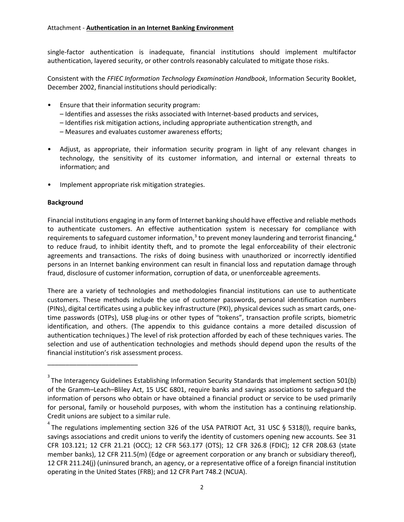single-factor authentication is inadequate, financial institutions should implement multifactor authentication, layered security, or other controls reasonably calculated to mitigate those risks.

Consistent with the *FFIEC Information Technology Examination Handbook*, Information Security Booklet, December 2002, financial institutions should periodically:

- Ensure that their information security program:
	- Identifies and assesses the risks associated with Internet-based products and services,
	- Identifies risk mitigation actions, including appropriate authentication strength, and
	- Measures and evaluates customer awareness efforts;
- Adjust, as appropriate, their information security program in light of any relevant changes in technology, the sensitivity of its customer information, and internal or external threats to information; and
- Implement appropriate risk mitigation strategies.

#### **Background**

\_\_\_\_\_\_\_\_\_\_\_\_\_\_\_\_\_\_\_\_\_\_\_\_\_

Financial institutions engaging in any form of Internet banking should have effective and reliable methods to authenticate customers. An effective authentication system is necessary for compliance with requirements to safeguard customer information,<sup>3</sup> to prevent money laundering and terrorist financing,<sup>4</sup> to reduce fraud, to inhibit identity theft, and to promote the legal enforceability of their electronic agreements and transactions. The risks of doing business with unauthorized or incorrectly identified persons in an Internet banking environment can result in financial loss and reputation damage through fraud, disclosure of customer information, corruption of data, or unenforceable agreements.

There are a variety of technologies and methodologies financial institutions can use to authenticate customers. These methods include the use of customer passwords, personal identification numbers (PINs), digital certificates using a public key infrastructure (PKI), physical devices such as smart cards, onetime passwords (OTPs), USB plug-ins or other types of "tokens", transaction profile scripts, biometric identification, and others. (The appendix to this guidance contains a more detailed discussion of authentication techniques.) The level of risk protection afforded by each of these techniques varies. The selection and use of authentication technologies and methods should depend upon the results of the financial institution's risk assessment process.

 $3$  The Interagency Guidelines Establishing Information Security Standards that implement section 501(b) of the Gramm–Leach–Bliley Act, 15 USC 6801, require banks and savings associations to safeguard the information of persons who obtain or have obtained a financial product or service to be used primarily for personal, family or household purposes, with whom the institution has a continuing relationship. Credit unions are subject to a similar rule.

 $^{4}$  The regulations implementing section 326 of the USA PATRIOT Act, 31 USC § 5318(I), require banks, savings associations and credit unions to verify the identity of customers opening new accounts. See 31 CFR 103.121; 12 CFR 21.21 (OCC); 12 CFR 563.177 (OTS); 12 CFR 326.8 (FDIC); 12 CFR 208.63 (state member banks), 12 CFR 211.5(m) (Edge or agreement corporation or any branch or subsidiary thereof), 12 CFR 211.24(j) (uninsured branch, an agency, or a representative office of a foreign financial institution operating in the United States (FRB); and 12 CFR Part 748.2 (NCUA).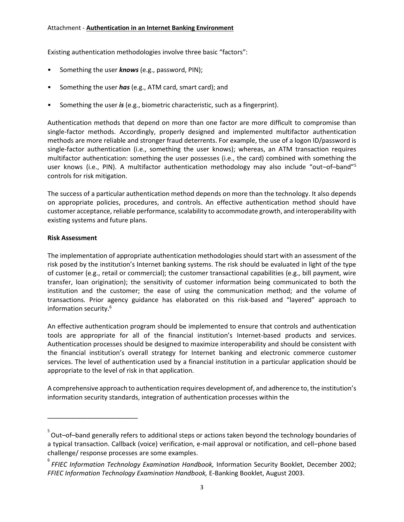Existing authentication methodologies involve three basic "factors":

- Something the user *knows* (e.g., password, PIN);
- Something the user *has* (e.g., ATM card, smart card); and
- Something the user *is* (e.g., biometric characteristic, such as a fingerprint).

Authentication methods that depend on more than one factor are more difficult to compromise than single-factor methods. Accordingly, properly designed and implemented multifactor authentication methods are more reliable and stronger fraud deterrents. For example, the use of a logon ID/password is single-factor authentication (i.e., something the user knows); whereas, an ATM transaction requires multifactor authentication: something the user possesses (i.e., the card) combined with something the user knows (i.e., PIN). A multifactor authentication methodology may also include "out–of–band"<sup>5</sup> controls for risk mitigation.

The success of a particular authentication method depends on more than the technology. It also depends on appropriate policies, procedures, and controls. An effective authentication method should have customer acceptance, reliable performance, scalability to accommodate growth, and interoperability with existing systems and future plans.

# **Risk Assessment**

\_\_\_\_\_\_\_\_\_\_\_\_\_\_\_\_\_\_\_\_\_\_\_\_\_

The implementation of appropriate authentication methodologies should start with an assessment of the risk posed by the institution's Internet banking systems. The risk should be evaluated in light of the type of customer (e.g., retail or commercial); the customer transactional capabilities (e.g., bill payment, wire transfer, loan origination); the sensitivity of customer information being communicated to both the institution and the customer; the ease of using the communication method; and the volume of transactions. Prior agency guidance has elaborated on this risk-based and "layered" approach to information security.<sup>6</sup>

An effective authentication program should be implemented to ensure that controls and authentication tools are appropriate for all of the financial institution's Internet-based products and services. Authentication processes should be designed to maximize interoperability and should be consistent with the financial institution's overall strategy for Internet banking and electronic commerce customer services. The level of authentication used by a financial institution in a particular application should be appropriate to the level of risk in that application.

A comprehensive approach to authentication requires development of, and adherence to, the institution's information security standards, integration of authentication processes within the

<sup>&</sup>lt;sup>5</sup> Out–of–band generally refers to additional steps or actions taken beyond the technology boundaries of a typical transaction. Callback (voice) verification, e-mail approval or notification, and cell–phone based challenge/ response processes are some examples.

<sup>&</sup>lt;sup>6</sup><br>FFIEC Information Technology Examination Handbook, Information Security Booklet, December 2002; *FFIEC Information Technology Examination Handbook,* E-Banking Booklet, August 2003.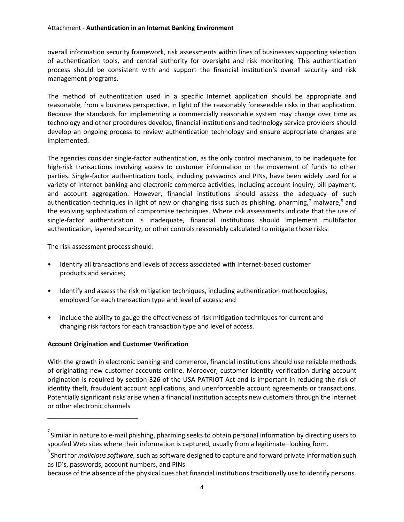#### Attachment - **Authentication in an Internet Banking Environment**

overall information security framework, risk assessments within lines of businesses supporting selection of authentication tools, and central authority for oversight and risk monitoring. This authentication process should be consistent with and support the financial institution's overall security and risk management programs.

The method of authentication used in a specific Internet application should be appropriate and reasonable, from a business perspective, in light of the reasonably foreseeable risks in that application. Because the standards for implementing a commercially reasonable system may change over time as technology and other procedures develop, financial institutions and technology service providers should develop an ongoing process to review authentication technology and ensure appropriate changes are implemented.

The agencies consider single-factor authentication, as the only control mechanism, to be inadequate for high-risk transactions involving access to customer information or the movement of funds to other parties. Single-factor authentication tools, including passwords and PINs, have been widely used for a variety of Internet banking and electronic commerce activities, including account inquiry, bill payment, and account aggregation. However, financial institutions should assess the adequacy of such authentication techniques in light of new or changing risks such as phishing, pharming,<sup>7</sup> malware,<sup>8</sup> and the evolving sophistication of compromise techniques. Where risk assessments indicate that the use of single-factor authentication is inadequate, financial institutions should implement multifactor authentication, layered security, or other controls reasonably calculated to mitigate those risks.

The risk assessment process should:

- Identify all transactions and levels of access associated with Internet-based customer products and services;
- Identify and assess the risk mitigation techniques, including authentication methodologies, employed for each transaction type and level of access; and
- Include the ability to gauge the effectiveness of risk mitigation techniques for current and changing risk factors for each transaction type and level of access.

# **Account Origination and Customer Verification**

\_\_\_\_\_\_\_\_\_\_\_\_\_\_\_\_\_\_\_\_\_\_\_\_\_

With the growth in electronic banking and commerce, financial institutions should use reliable methods of originating new customer accounts online. Moreover, customer identity verification during account origination is required by section 326 of the USA PATRIOT Act and is important in reducing the risk of identity theft, fraudulent account applications, and unenforceable account agreements or transactions. Potentially significant risks arise when a financial institution accepts new customers through the Internet or other electronic channels

 $\sigma$  Similar in nature to e-mail phishing, pharming seeks to obtain personal information by directing users to spoofed Web sites where their information is captured, usually from a legitimate–looking form.

<sup>&</sup>lt;sub>。</sub><br>Short for *malicious software,* such as software designed to capture and forward private information such as ID's, passwords, account numbers, and PINs.

because of the absence of the physical cues that financial institutions traditionally use to identify persons.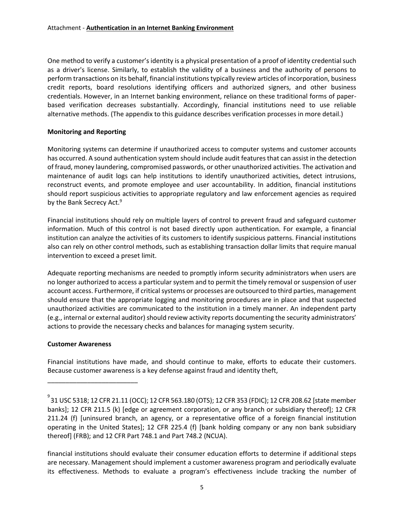One method to verify a customer's identity is a physical presentation of a proof of identity credential such as a driver's license. Similarly, to establish the validity of a business and the authority of persons to perform transactions on its behalf, financial institutions typically review articles of incorporation, business credit reports, board resolutions identifying officers and authorized signers, and other business credentials. However, in an Internet banking environment, reliance on these traditional forms of paperbased verification decreases substantially. Accordingly, financial institutions need to use reliable alternative methods. (The appendix to this guidance describes verification processes in more detail.)

# **Monitoring and Reporting**

Monitoring systems can determine if unauthorized access to computer systems and customer accounts has occurred. A sound authentication system should include audit features that can assist in the detection of fraud, money laundering, compromised passwords, or other unauthorized activities. The activation and maintenance of audit logs can help institutions to identify unauthorized activities, detect intrusions, reconstruct events, and promote employee and user accountability. In addition, financial institutions should report suspicious activities to appropriate regulatory and law enforcement agencies as required by the Bank Secrecy Act.<sup>9</sup>

Financial institutions should rely on multiple layers of control to prevent fraud and safeguard customer information. Much of this control is not based directly upon authentication. For example, a financial institution can analyze the activities of its customers to identify suspicious patterns. Financial institutions also can rely on other control methods, such as establishing transaction dollar limits that require manual intervention to exceed a preset limit.

Adequate reporting mechanisms are needed to promptly inform security administrators when users are no longer authorized to access a particular system and to permit the timely removal or suspension of user account access. Furthermore, if critical systems or processes are outsourced to third parties, management should ensure that the appropriate logging and monitoring procedures are in place and that suspected unauthorized activities are communicated to the institution in a timely manner. An independent party (e.g., internal or external auditor) should review activity reports documenting the security administrators' actions to provide the necessary checks and balances for managing system security.

#### **Customer Awareness**

\_\_\_\_\_\_\_\_\_\_\_\_\_\_\_\_\_\_\_\_\_\_\_\_\_

Financial institutions have made, and should continue to make, efforts to educate their customers. Because customer awareness is a key defense against fraud and identity theft,

<sup>。&</sup>lt;br>31 USC 5318; 12 CFR 21.11 (OCC); 12 CFR 563.180 (OTS); 12 CFR 353 (FDIC); 12 CFR 208.62 [state member ] banks]; 12 CFR 211.5 (k) [edge or agreement corporation, or any branch or subsidiary thereof]; 12 CFR 211.24 (f) [uninsured branch, an agency, or a representative office of a foreign financial institution operating in the United States]; 12 CFR 225.4 (f) [bank holding company or any non bank subsidiary thereof] (FRB); and 12 CFR Part 748.1 and Part 748.2 (NCUA).

financial institutions should evaluate their consumer education efforts to determine if additional steps are necessary. Management should implement a customer awareness program and periodically evaluate its effectiveness. Methods to evaluate a program's effectiveness include tracking the number of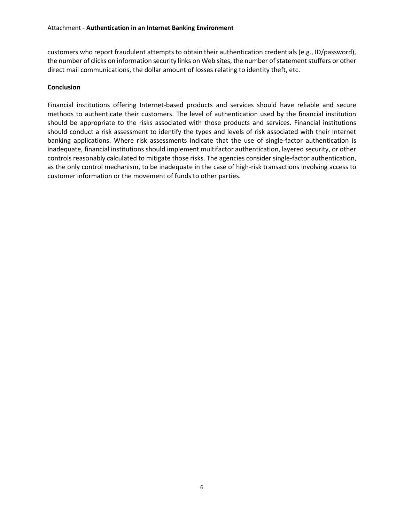customers who report fraudulent attempts to obtain their authentication credentials (e.g., ID/password), the number of clicks on information security links on Web sites, the number of statement stuffers or other direct mail communications, the dollar amount of losses relating to identity theft, etc.

# **Conclusion**

Financial institutions offering Internet-based products and services should have reliable and secure methods to authenticate their customers. The level of authentication used by the financial institution should be appropriate to the risks associated with those products and services. Financial institutions should conduct a risk assessment to identify the types and levels of risk associated with their Internet banking applications. Where risk assessments indicate that the use of single-factor authentication is inadequate, financial institutions should implement multifactor authentication, layered security, or other controls reasonably calculated to mitigate those risks. The agencies consider single-factor authentication, as the only control mechanism, to be inadequate in the case of high-risk transactions involving access to customer information or the movement of funds to other parties.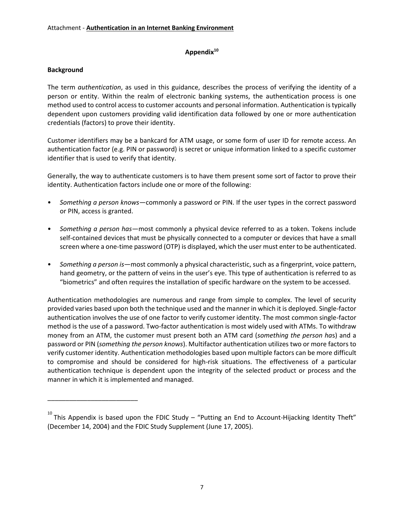# **Appendix<sup>10</sup>**

# **Background**

\_\_\_\_\_\_\_\_\_\_\_\_\_\_\_\_\_\_\_\_\_\_\_\_\_

The term *authentication*, as used in this guidance, describes the process of verifying the identity of a person or entity. Within the realm of electronic banking systems, the authentication process is one method used to control access to customer accounts and personal information. Authentication is typically dependent upon customers providing valid identification data followed by one or more authentication credentials (factors) to prove their identity.

Customer identifiers may be a bankcard for ATM usage, or some form of user ID for remote access. An authentication factor (e.g. PIN or password) is secret or unique information linked to a specific customer identifier that is used to verify that identity.

Generally, the way to authenticate customers is to have them present some sort of factor to prove their identity. Authentication factors include one or more of the following:

- *Something a person knows*—commonly a password or PIN. If the user types in the correct password or PIN, access is granted.
- *Something a person has*—most commonly a physical device referred to as a token. Tokens include self-contained devices that must be physically connected to a computer or devices that have a small screen where a one-time password (OTP) is displayed, which the user must enter to be authenticated.
- *Something a person is*—most commonly a physical characteristic, such as a fingerprint, voice pattern, hand geometry, or the pattern of veins in the user's eye. This type of authentication is referred to as "biometrics" and often requires the installation of specific hardware on the system to be accessed.

Authentication methodologies are numerous and range from simple to complex. The level of security provided varies based upon both the technique used and the manner in which it is deployed. Single-factor authentication involves the use of one factor to verify customer identity. The most common single-factor method is the use of a password. Two-factor authentication is most widely used with ATMs. To withdraw money from an ATM, the customer must present both an ATM card (*something the person ha*s) and a password or PIN (*something the person knows*). Multifactor authentication utilizes two or more factors to verify customer identity. Authentication methodologies based upon multiple factors can be more difficult to compromise and should be considered for high-risk situations. The effectiveness of a particular authentication technique is dependent upon the integrity of the selected product or process and the manner in which it is implemented and managed.

 $^{10}$  This Appendix is based upon the FDIC Study – "Putting an End to Account-Hijacking Identity Theft" (December 14, 2004) and the FDIC Study Supplement (June 17, 2005).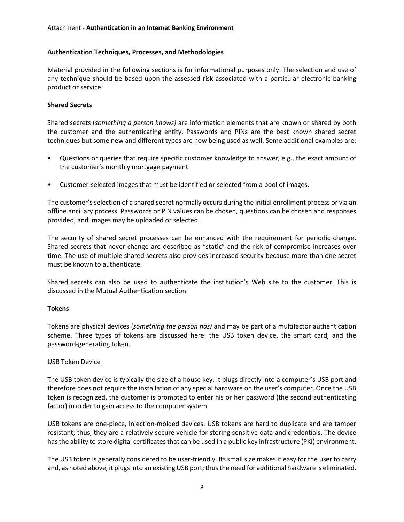#### **Authentication Techniques, Processes, and Methodologies**

Material provided in the following sections is for informational purposes only. The selection and use of any technique should be based upon the assessed risk associated with a particular electronic banking product or service.

# **Shared Secrets**

Shared secrets (*something a person knows)* are information elements that are known or shared by both the customer and the authenticating entity. Passwords and PINs are the best known shared secret techniques but some new and different types are now being used as well. Some additional examples are:

- Questions or queries that require specific customer knowledge to answer, e.g., the exact amount of the customer's monthly mortgage payment.
- Customer-selected images that must be identified or selected from a pool of images.

The customer's selection of a shared secret normally occurs during the initial enrollment process or via an offline ancillary process. Passwords or PIN values can be chosen, questions can be chosen and responses provided, and images may be uploaded or selected.

The security of shared secret processes can be enhanced with the requirement for periodic change. Shared secrets that never change are described as "static" and the risk of compromise increases over time. The use of multiple shared secrets also provides increased security because more than one secret must be known to authenticate.

Shared secrets can also be used to authenticate the institution's Web site to the customer. This is discussed in the Mutual Authentication section.

#### **Tokens**

Tokens are physical devices (*something the person has)* and may be part of a multifactor authentication scheme. Three types of tokens are discussed here: the USB token device, the smart card, and the password-generating token.

#### USB Token Device

The USB token device is typically the size of a house key. It plugs directly into a computer's USB port and therefore does not require the installation of any special hardware on the user's computer. Once the USB token is recognized, the customer is prompted to enter his or her password (the second authenticating factor) in order to gain access to the computer system.

USB tokens are one-piece, injection-molded devices. USB tokens are hard to duplicate and are tamper resistant; thus, they are a relatively secure vehicle for storing sensitive data and credentials. The device has the ability to store digital certificates that can be used in a public key infrastructure (PKI) environment.

The USB token is generally considered to be user-friendly. Its small size makes it easy for the user to carry and, as noted above, it plugs into an existing USB port; thus the need for additional hardware is eliminated.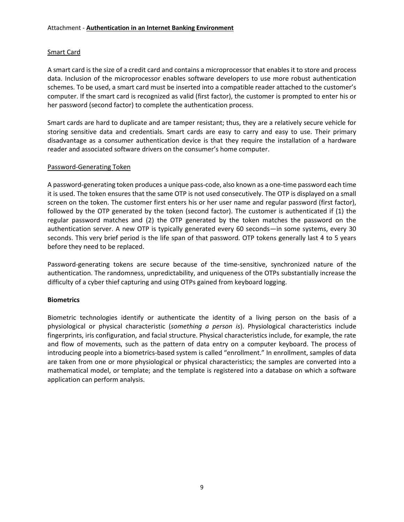# Smart Card

A smart card is the size of a credit card and contains a microprocessor that enables it to store and process data. Inclusion of the microprocessor enables software developers to use more robust authentication schemes. To be used, a smart card must be inserted into a compatible reader attached to the customer's computer. If the smart card is recognized as valid (first factor), the customer is prompted to enter his or her password (second factor) to complete the authentication process.

Smart cards are hard to duplicate and are tamper resistant; thus, they are a relatively secure vehicle for storing sensitive data and credentials. Smart cards are easy to carry and easy to use. Their primary disadvantage as a consumer authentication device is that they require the installation of a hardware reader and associated software drivers on the consumer's home computer.

#### Password-Generating Token

A password-generating token produces a unique pass-code, also known as a one-time password each time it is used. The token ensures that the same OTP is not used consecutively. The OTP is displayed on a small screen on the token. The customer first enters his or her user name and regular password (first factor), followed by the OTP generated by the token (second factor). The customer is authenticated if (1) the regular password matches and (2) the OTP generated by the token matches the password on the authentication server. A new OTP is typically generated every 60 seconds—in some systems, every 30 seconds. This very brief period is the life span of that password. OTP tokens generally last 4 to 5 years before they need to be replaced.

Password-generating tokens are secure because of the time-sensitive, synchronized nature of the authentication. The randomness, unpredictability, and uniqueness of the OTPs substantially increase the difficulty of a cyber thief capturing and using OTPs gained from keyboard logging.

#### **Biometrics**

Biometric technologies identify or authenticate the identity of a living person on the basis of a physiological or physical characteristic (*something a person is*). Physiological characteristics include fingerprints, iris configuration, and facial structure. Physical characteristics include, for example, the rate and flow of movements, such as the pattern of data entry on a computer keyboard. The process of introducing people into a biometrics-based system is called "enrollment." In enrollment, samples of data are taken from one or more physiological or physical characteristics; the samples are converted into a mathematical model, or template; and the template is registered into a database on which a software application can perform analysis.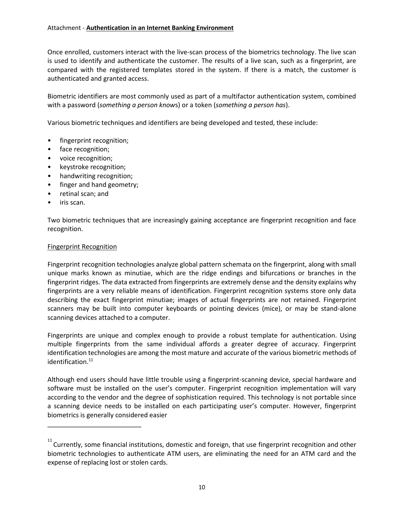Once enrolled, customers interact with the live-scan process of the biometrics technology. The live scan is used to identify and authenticate the customer. The results of a live scan, such as a fingerprint, are compared with the registered templates stored in the system. If there is a match, the customer is authenticated and granted access.

Biometric identifiers are most commonly used as part of a multifactor authentication system, combined with a password (*something a person know*s) or a token (*something a person has*).

Various biometric techniques and identifiers are being developed and tested, these include:

- fingerprint recognition;
- face recognition;
- voice recognition;
- keystroke recognition;
- handwriting recognition;
- finger and hand geometry;
- retinal scan; and
- iris scan.

Two biometric techniques that are increasingly gaining acceptance are fingerprint recognition and face recognition.

#### Fingerprint Recognition

\_\_\_\_\_\_\_\_\_\_\_\_\_\_\_\_\_\_\_\_\_\_\_\_\_\_

Fingerprint recognition technologies analyze global pattern schemata on the fingerprint, along with small unique marks known as minutiae, which are the ridge endings and bifurcations or branches in the fingerprint ridges. The data extracted from fingerprints are extremely dense and the density explains why fingerprints are a very reliable means of identification. Fingerprint recognition systems store only data describing the exact fingerprint minutiae; images of actual fingerprints are not retained. Fingerprint scanners may be built into computer keyboards or pointing devices (mice), or may be stand-alone scanning devices attached to a computer.

Fingerprints are unique and complex enough to provide a robust template for authentication. Using multiple fingerprints from the same individual affords a greater degree of accuracy. Fingerprint identification technologies are among the most mature and accurate of the various biometric methods of identification.<sup>11</sup>

Although end users should have little trouble using a fingerprint-scanning device, special hardware and software must be installed on the user's computer. Fingerprint recognition implementation will vary according to the vendor and the degree of sophistication required. This technology is not portable since a scanning device needs to be installed on each participating user's computer. However, fingerprint biometrics is generally considered easier

<sup>&</sup>lt;sup>11</sup> Currently, some financial institutions, domestic and foreign, that use fingerprint recognition and other biometric technologies to authenticate ATM users, are eliminating the need for an ATM card and the expense of replacing lost or stolen cards.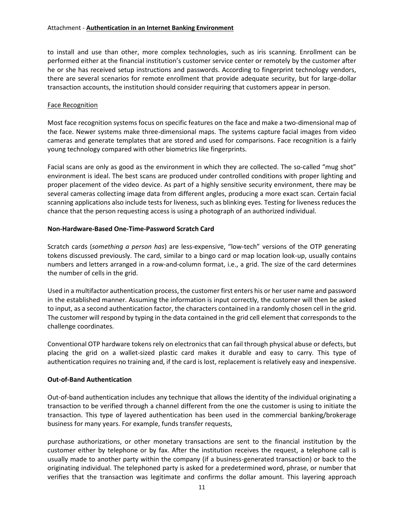to install and use than other, more complex technologies, such as iris scanning. Enrollment can be performed either at the financial institution's customer service center or remotely by the customer after he or she has received setup instructions and passwords. According to fingerprint technology vendors, there are several scenarios for remote enrollment that provide adequate security, but for large-dollar transaction accounts, the institution should consider requiring that customers appear in person.

# Face Recognition

Most face recognition systems focus on specific features on the face and make a two-dimensional map of the face. Newer systems make three-dimensional maps. The systems capture facial images from video cameras and generate templates that are stored and used for comparisons. Face recognition is a fairly young technology compared with other biometrics like fingerprints.

Facial scans are only as good as the environment in which they are collected. The so-called "mug shot" environment is ideal. The best scans are produced under controlled conditions with proper lighting and proper placement of the video device. As part of a highly sensitive security environment, there may be several cameras collecting image data from different angles, producing a more exact scan. Certain facial scanning applications also include tests for liveness, such as blinking eyes. Testing for liveness reduces the chance that the person requesting access is using a photograph of an authorized individual.

# **Non-Hardware-Based One-Time-Password Scratch Card**

Scratch cards (*something a person has*) are less-expensive, "low-tech" versions of the OTP generating tokens discussed previously. The card, similar to a bingo card or map location look-up, usually contains numbers and letters arranged in a row-and-column format, i.e., a grid. The size of the card determines the number of cells in the grid.

Used in a multifactor authentication process, the customer first enters his or her user name and password in the established manner. Assuming the information is input correctly, the customer will then be asked to input, as a second authentication factor, the characters contained in a randomly chosen cell in the grid. The customer will respond by typing in the data contained in the grid cell element that corresponds to the challenge coordinates.

Conventional OTP hardware tokens rely on electronics that can fail through physical abuse or defects, but placing the grid on a wallet-sized plastic card makes it durable and easy to carry. This type of authentication requires no training and, if the card is lost, replacement is relatively easy and inexpensive.

# **Out-of-Band Authentication**

Out-of-band authentication includes any technique that allows the identity of the individual originating a transaction to be verified through a channel different from the one the customer is using to initiate the transaction. This type of layered authentication has been used in the commercial banking/brokerage business for many years. For example, funds transfer requests,

purchase authorizations, or other monetary transactions are sent to the financial institution by the customer either by telephone or by fax. After the institution receives the request, a telephone call is usually made to another party within the company (if a business-generated transaction) or back to the originating individual. The telephoned party is asked for a predetermined word, phrase, or number that verifies that the transaction was legitimate and confirms the dollar amount. This layering approach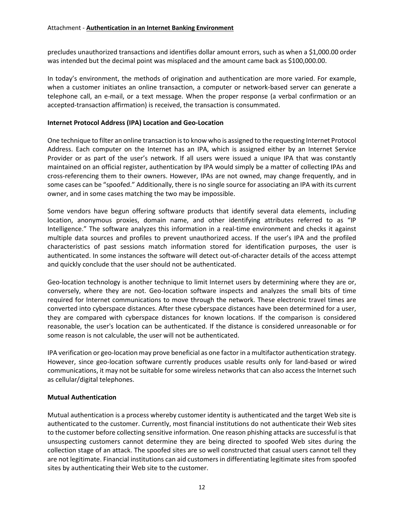precludes unauthorized transactions and identifies dollar amount errors, such as when a \$1,000.00 order was intended but the decimal point was misplaced and the amount came back as \$100,000.00.

In today's environment, the methods of origination and authentication are more varied. For example, when a customer initiates an online transaction, a computer or network-based server can generate a telephone call, an e-mail, or a text message. When the proper response (a verbal confirmation or an accepted-transaction affirmation) is received, the transaction is consummated.

### **Internet Protocol Address (IPA) Location and Geo-Location**

One technique to filter an online transaction is to know who is assigned to the requesting Internet Protocol Address. Each computer on the Internet has an IPA, which is assigned either by an Internet Service Provider or as part of the user's network. If all users were issued a unique IPA that was constantly maintained on an official register, authentication by IPA would simply be a matter of collecting IPAs and cross-referencing them to their owners. However, IPAs are not owned, may change frequently, and in some cases can be "spoofed." Additionally, there is no single source for associating an IPA with its current owner, and in some cases matching the two may be impossible.

Some vendors have begun offering software products that identify several data elements, including location, anonymous proxies, domain name, and other identifying attributes referred to as "IP Intelligence." The software analyzes this information in a real-time environment and checks it against multiple data sources and profiles to prevent unauthorized access. If the user's IPA and the profiled characteristics of past sessions match information stored for identification purposes, the user is authenticated. In some instances the software will detect out-of-character details of the access attempt and quickly conclude that the user should not be authenticated.

Geo-location technology is another technique to limit Internet users by determining where they are or, conversely, where they are not. Geo-location software inspects and analyzes the small bits of time required for Internet communications to move through the network. These electronic travel times are converted into cyberspace distances. After these cyberspace distances have been determined for a user, they are compared with cyberspace distances for known locations. If the comparison is considered reasonable, the user's location can be authenticated. If the distance is considered unreasonable or for some reason is not calculable, the user will not be authenticated.

IPA verification or geo-location may prove beneficial as one factor in a multifactor authentication strategy. However, since geo-location software currently produces usable results only for land-based or wired communications, it may not be suitable for some wireless networks that can also access the Internet such as cellular/digital telephones.

# **Mutual Authentication**

Mutual authentication is a process whereby customer identity is authenticated and the target Web site is authenticated to the customer. Currently, most financial institutions do not authenticate their Web sites to the customer before collecting sensitive information. One reason phishing attacks are successful is that unsuspecting customers cannot determine they are being directed to spoofed Web sites during the collection stage of an attack. The spoofed sites are so well constructed that casual users cannot tell they are not legitimate. Financial institutions can aid customers in differentiating legitimate sites from spoofed sites by authenticating their Web site to the customer.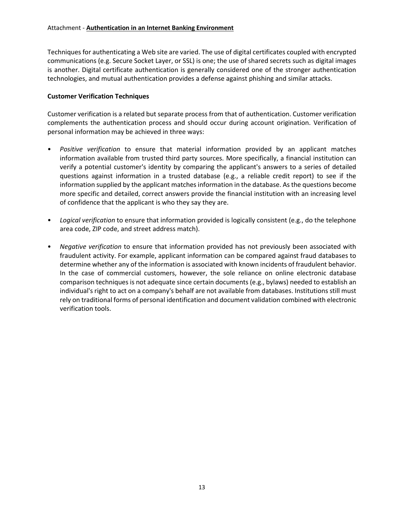Techniques for authenticating a Web site are varied. The use of digital certificates coupled with encrypted communications (e.g. Secure Socket Layer, or SSL) is one; the use of shared secrets such as digital images is another. Digital certificate authentication is generally considered one of the stronger authentication technologies, and mutual authentication provides a defense against phishing and similar attacks.

# **Customer Verification Techniques**

Customer verification is a related but separate process from that of authentication. Customer verification complements the authentication process and should occur during account origination. Verification of personal information may be achieved in three ways:

- *Positive verification* to ensure that material information provided by an applicant matches information available from trusted third party sources. More specifically, a financial institution can verify a potential customer's identity by comparing the applicant's answers to a series of detailed questions against information in a trusted database (e.g., a reliable credit report) to see if the information supplied by the applicant matches information in the database. As the questions become more specific and detailed, correct answers provide the financial institution with an increasing level of confidence that the applicant is who they say they are.
- *Logical verification* to ensure that information provided is logically consistent (e.g., do the telephone area code, ZIP code, and street address match).
- *Negative verification* to ensure that information provided has not previously been associated with fraudulent activity. For example, applicant information can be compared against fraud databases to determine whether any of the information is associated with known incidents of fraudulent behavior. In the case of commercial customers, however, the sole reliance on online electronic database comparison techniques is not adequate since certain documents (e.g., bylaws) needed to establish an individual's right to act on a company's behalf are not available from databases. Institutions still must rely on traditional forms of personal identification and document validation combined with electronic verification tools.